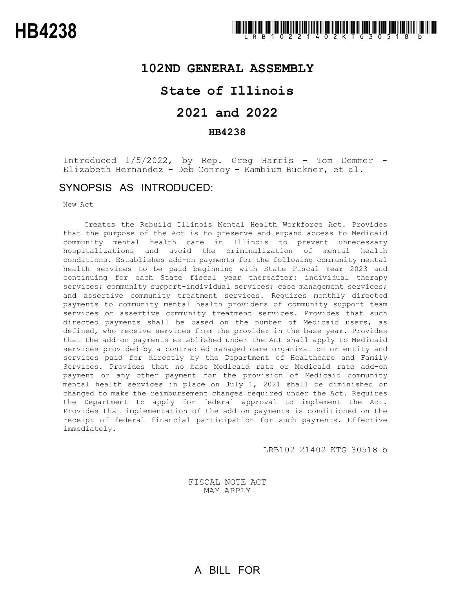## **102ND GENERAL ASSEMBLY**

## **State of Illinois**

# **2021 and 2022**

### **HB4238**

Introduced 1/5/2022, by Rep. Greg Harris - Tom Demmer -<br>Elizabeth Hernandez - Deb Conroy - Kambium Buckner, et al.

## SYNOPSIS AS INTRODUCED:

New Act

Creates the Rebuild Illinois Mental Health Workforce Act. Provides that the purpose of the Act is to preserve and expand access to Medicaid community mental health care in Illinois to prevent unnecessary hospitalizations and avoid the criminalization of mental health conditions. Establishes add-on payments for the following community mental health services to be paid beginning with State Fiscal Year 2023 and continuing for each State fiscal year thereafter: individual therapy services; community support-individual services; case management services; and assertive community treatment services. Requires monthly directed payments to community mental health providers of community support team services or assertive community treatment services. Provides that such directed payments shall be based on the number of Medicaid users, as defined, who receive services from the provider in the base year. Provides that the add-on payments established under the Act shall apply to Medicaid services provided by a contracted managed care organization or entity and services paid for directly by the Department of Healthcare and Family Services. Provides that no base Medicaid rate or Medicaid rate add-on payment or any other payment for the provision of Medicaid community mental health services in place on July 1, 2021 shall be diminished or changed to make the reimbursement changes required under the Act. Requires the Department to apply for federal approval to implement the Act. Provides that implementation of the add-on payments is conditioned on the receipt of federal financial participation for such payments. Effective immediately.

LRB102 21402 KTG 30518 b

FISCAL NOTE ACT MAY APPLY

A BILL FOR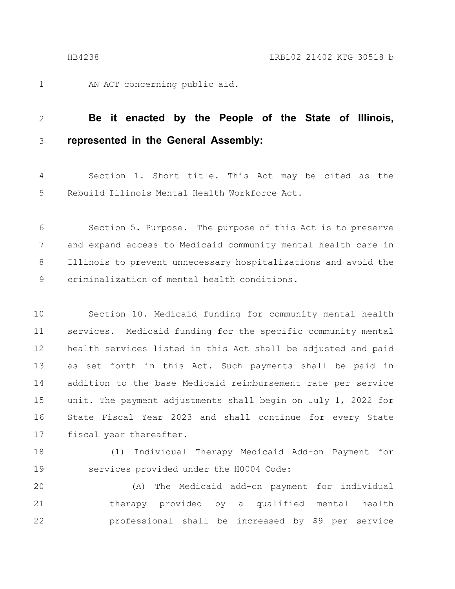AN ACT concerning public aid. 1

#### **Be it enacted by the People of the State of Illinois, represented in the General Assembly:** 2 3

Section 1. Short title. This Act may be cited as the Rebuild Illinois Mental Health Workforce Act. 4 5

Section 5. Purpose. The purpose of this Act is to preserve and expand access to Medicaid community mental health care in Illinois to prevent unnecessary hospitalizations and avoid the criminalization of mental health conditions. 6 7 8 9

Section 10. Medicaid funding for community mental health services. Medicaid funding for the specific community mental health services listed in this Act shall be adjusted and paid as set forth in this Act. Such payments shall be paid in addition to the base Medicaid reimbursement rate per service unit. The payment adjustments shall begin on July 1, 2022 for State Fiscal Year 2023 and shall continue for every State fiscal year thereafter. 10 11 12 13 14 15 16 17

(1) Individual Therapy Medicaid Add-on Payment for services provided under the H0004 Code: 18 19

(A) The Medicaid add-on payment for individual therapy provided by a qualified mental health professional shall be increased by \$9 per service 20 21 22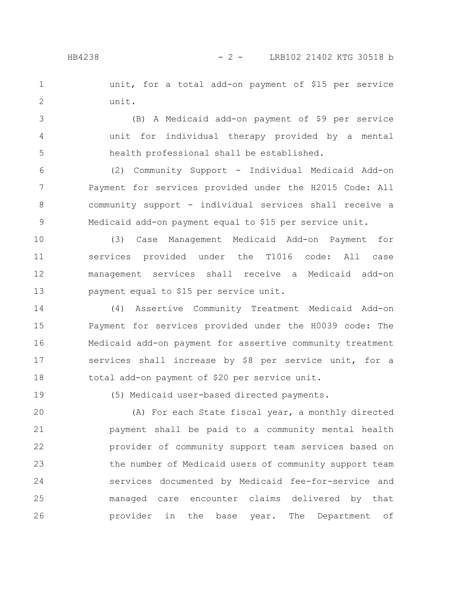unit, for a total add-on payment of \$15 per service unit. 1 2

(B) A Medicaid add-on payment of \$9 per service unit for individual therapy provided by a mental health professional shall be established. 3 4 5

(2) Community Support - Individual Medicaid Add-on Payment for services provided under the H2015 Code: All community support - individual services shall receive a Medicaid add-on payment equal to \$15 per service unit. 6 7 8 9

(3) Case Management Medicaid Add-on Payment for services provided under the T1016 code: All case management services shall receive a Medicaid add-on payment equal to \$15 per service unit. 10 11 12 13

(4) Assertive Community Treatment Medicaid Add-on Payment for services provided under the H0039 code: The Medicaid add-on payment for assertive community treatment services shall increase by \$8 per service unit, for a total add-on payment of \$20 per service unit. 14 15 16 17 18

19

(5) Medicaid user-based directed payments.

(A) For each State fiscal year, a monthly directed payment shall be paid to a community mental health provider of community support team services based on the number of Medicaid users of community support team services documented by Medicaid fee-for-service and managed care encounter claims delivered by that provider in the base year. The Department of 20 21 22 23 24 25 26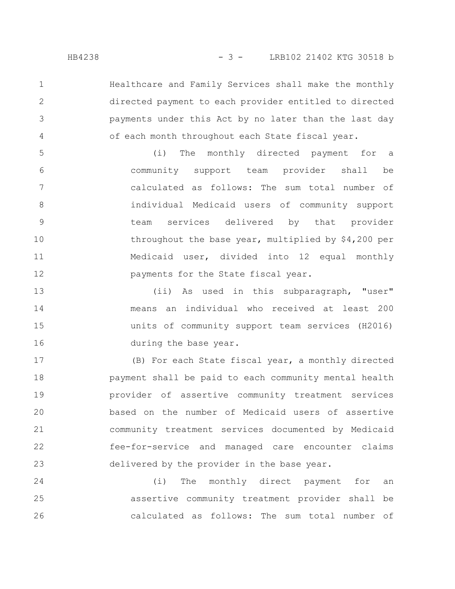Healthcare and Family Services shall make the monthly directed payment to each provider entitled to directed payments under this Act by no later than the last day of each month throughout each State fiscal year.

(i) The monthly directed payment for a community support team provider shall be calculated as follows: The sum total number of individual Medicaid users of community support team services delivered by that provider throughout the base year, multiplied by \$4,200 per Medicaid user, divided into 12 equal monthly payments for the State fiscal year. 5 6 7 8 9 10 11 12

(ii) As used in this subparagraph, "user" means an individual who received at least 200 units of community support team services (H2016) during the base year. 13 14 15 16

(B) For each State fiscal year, a monthly directed payment shall be paid to each community mental health provider of assertive community treatment services based on the number of Medicaid users of assertive community treatment services documented by Medicaid fee-for-service and managed care encounter claims delivered by the provider in the base year. 17 18 19 20 21 22 23

(i) The monthly direct payment for an assertive community treatment provider shall be calculated as follows: The sum total number of 24 25 26

1

2

3

4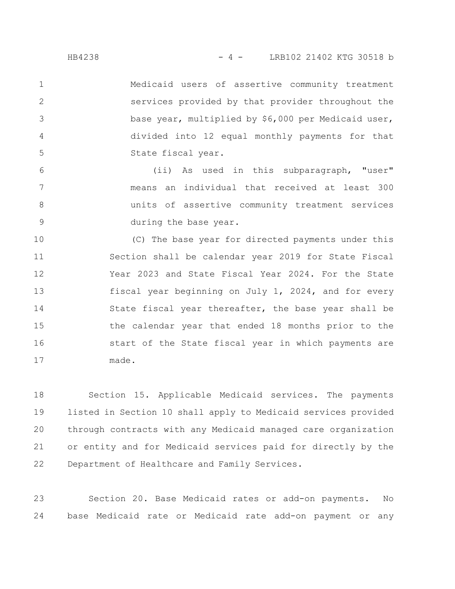Medicaid users of assertive community treatment services provided by that provider throughout the base year, multiplied by \$6,000 per Medicaid user, divided into 12 equal monthly payments for that State fiscal year. 1 2 3 4 5

(ii) As used in this subparagraph, "user" means an individual that received at least 300 units of assertive community treatment services during the base year. 6 7 8 9

(C) The base year for directed payments under this Section shall be calendar year 2019 for State Fiscal Year 2023 and State Fiscal Year 2024. For the State fiscal year beginning on July 1, 2024, and for every State fiscal year thereafter, the base year shall be the calendar year that ended 18 months prior to the start of the State fiscal year in which payments are made. 10 11 12 13 14 15 16 17

Section 15. Applicable Medicaid services. The payments listed in Section 10 shall apply to Medicaid services provided through contracts with any Medicaid managed care organization or entity and for Medicaid services paid for directly by the Department of Healthcare and Family Services. 18 19 20 21 22

Section 20. Base Medicaid rates or add-on payments. No base Medicaid rate or Medicaid rate add-on payment or any 23 24